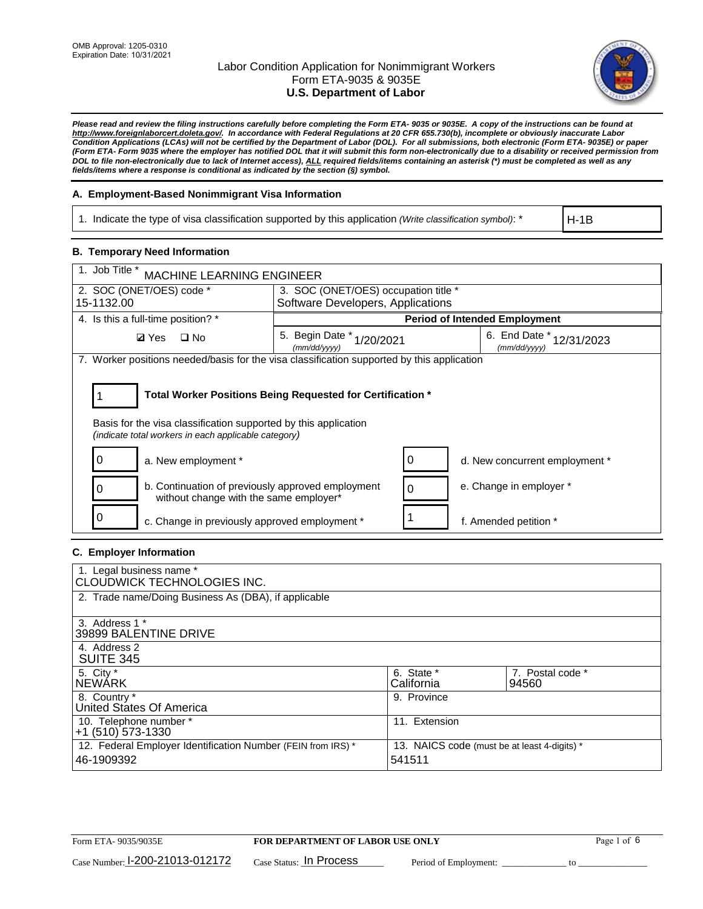

*Please read and review the filing instructions carefully before completing the Form ETA- 9035 or 9035E. A copy of the instructions can be found at http://www.foreignlaborcert.doleta.gov/. In accordance with Federal Regulations at 20 CFR 655.730(b), incomplete or obviously inaccurate Labor Condition Applications (LCAs) will not be certified by the Department of Labor (DOL). For all submissions, both electronic (Form ETA- 9035E) or paper (Form ETA- Form 9035 where the employer has notified DOL that it will submit this form non-electronically due to a disability or received permission from DOL to file non-electronically due to lack of Internet access), ALL required fields/items containing an asterisk (\*) must be completed as well as any fields/items where a response is conditional as indicated by the section (§) symbol.* 

## **A. Employment-Based Nonimmigrant Visa Information**

1. Indicate the type of visa classification supported by this application *(Write classification symbol)*: \*

H-1B

### **B. Temporary Need Information**

| 1. Job Title *<br>MACHINE LEARNING ENGINEER                                                                                                                                           |                                                                                              |                                      |  |  |  |  |  |
|---------------------------------------------------------------------------------------------------------------------------------------------------------------------------------------|----------------------------------------------------------------------------------------------|--------------------------------------|--|--|--|--|--|
| 2. SOC (ONET/OES) code *                                                                                                                                                              | 3. SOC (ONET/OES) occupation title *                                                         |                                      |  |  |  |  |  |
| 15-1132.00                                                                                                                                                                            | Software Developers, Applications                                                            |                                      |  |  |  |  |  |
| 4. Is this a full-time position? *                                                                                                                                                    |                                                                                              | <b>Period of Intended Employment</b> |  |  |  |  |  |
| <b>Ø</b> Yes<br>$\square$ No                                                                                                                                                          | 6. End Date *<br>5. Begin Date $*_{1/20/2021}$<br>12/31/2023<br>(mm/dd/yyyy)<br>(mm/dd/yyyy) |                                      |  |  |  |  |  |
| 7. Worker positions needed/basis for the visa classification supported by this application                                                                                            |                                                                                              |                                      |  |  |  |  |  |
| Total Worker Positions Being Requested for Certification *<br>Basis for the visa classification supported by this application<br>(indicate total workers in each applicable category) |                                                                                              |                                      |  |  |  |  |  |
| a. New employment *                                                                                                                                                                   |                                                                                              | d. New concurrent employment *       |  |  |  |  |  |
| b. Continuation of previously approved employment<br>without change with the same employer*                                                                                           |                                                                                              | e. Change in employer *              |  |  |  |  |  |
| c. Change in previously approved employment *                                                                                                                                         |                                                                                              | f. Amended petition *                |  |  |  |  |  |

### **C. Employer Information**

| 1. Legal business name *<br><b>CLOUDWICK TECHNOLOGIES INC.</b>             |                                                        |                           |
|----------------------------------------------------------------------------|--------------------------------------------------------|---------------------------|
| 2. Trade name/Doing Business As (DBA), if applicable                       |                                                        |                           |
| 3. Address 1 *<br>39899 BALENTINE DRIVE                                    |                                                        |                           |
| 4. Address 2<br><b>SUITE 345</b>                                           |                                                        |                           |
| 5. City *<br><b>NEWARK</b>                                                 | 6. State *<br>California                               | 7. Postal code *<br>94560 |
| 8. Country *<br>United States Of America                                   | 9. Province                                            |                           |
| 10. Telephone number *<br>$+1$ (510) 573-1330                              | 11. Extension                                          |                           |
| 12. Federal Employer Identification Number (FEIN from IRS) *<br>46-1909392 | 13. NAICS code (must be at least 4-digits) *<br>541511 |                           |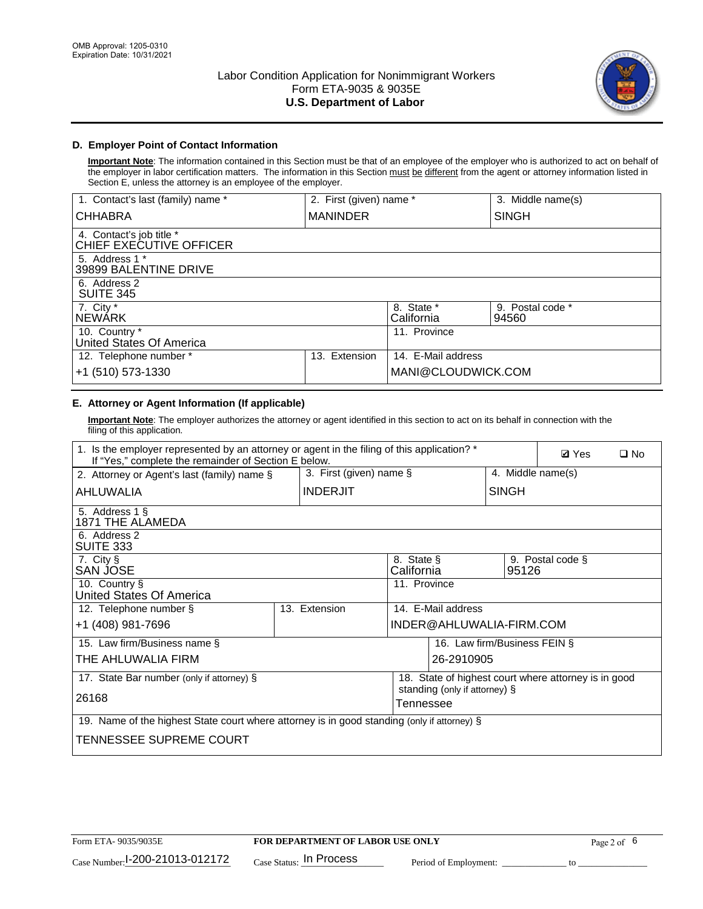

# **D. Employer Point of Contact Information**

**Important Note**: The information contained in this Section must be that of an employee of the employer who is authorized to act on behalf of the employer in labor certification matters. The information in this Section must be different from the agent or attorney information listed in Section E, unless the attorney is an employee of the employer.

| 1. Contact's last (family) name *                   | 2. First (given) name * |                          | 3. Middle name(s)         |
|-----------------------------------------------------|-------------------------|--------------------------|---------------------------|
| <b>CHHABRA</b>                                      | <b>MANINDER</b>         |                          | <b>SINGH</b>              |
| 4. Contact's job title *<br>CHIEF EXECUTIVE OFFICER |                         |                          |                           |
| 5. Address 1 *<br>39899 BALENTINE DRIVE             |                         |                          |                           |
| 6. Address 2<br><b>SUITE 345</b>                    |                         |                          |                           |
| 7. City *<br><b>NEWÁRK</b>                          |                         | 8. State *<br>California | 9. Postal code *<br>94560 |
| 10. Country *<br>United States Of America           |                         | 11. Province             |                           |
| 12. Telephone number *                              | Extension<br>13.        | 14. E-Mail address       |                           |
| +1 (510) 573-1330                                   |                         | MANI@CLOUDWICK.COM       |                           |

# **E. Attorney or Agent Information (If applicable)**

**Important Note**: The employer authorizes the attorney or agent identified in this section to act on its behalf in connection with the filing of this application.

| 1. Is the employer represented by an attorney or agent in the filing of this application? *<br>If "Yes," complete the remainder of Section E below. |                            |                                 |                                            |                   | <b>Ø</b> Yes<br>$\square$ No |                                                      |  |
|-----------------------------------------------------------------------------------------------------------------------------------------------------|----------------------------|---------------------------------|--------------------------------------------|-------------------|------------------------------|------------------------------------------------------|--|
| 2. Attorney or Agent's last (family) name §                                                                                                         | 3. First (given) name $\S$ |                                 |                                            | 4. Middle name(s) |                              |                                                      |  |
| AHLUWALIA                                                                                                                                           |                            | <b>INDERJIT</b><br><b>SINGH</b> |                                            |                   |                              |                                                      |  |
| 5. Address 1 §<br>1871 THE ALAMEDA                                                                                                                  |                            |                                 |                                            |                   |                              |                                                      |  |
| 6. Address 2<br>SUITE 333                                                                                                                           |                            |                                 |                                            |                   |                              |                                                      |  |
| 7. City §<br>SAN JOSE                                                                                                                               |                            |                                 | 8. State §<br>California                   |                   | 95126                        | 9. Postal code §                                     |  |
| 10. Country §<br>United States Of America                                                                                                           |                            |                                 | 11. Province                               |                   |                              |                                                      |  |
| 12. Telephone number §                                                                                                                              |                            | 13. Extension                   | 14. E-Mail address                         |                   |                              |                                                      |  |
| +1 (408) 981-7696                                                                                                                                   |                            | INDER@AHLUWALIA-FIRM.COM        |                                            |                   |                              |                                                      |  |
| 15. Law firm/Business name §                                                                                                                        |                            |                                 |                                            |                   | 16. Law firm/Business FEIN § |                                                      |  |
| THE AHLUWALIA FIRM                                                                                                                                  |                            |                                 |                                            | 26-2910905        |                              |                                                      |  |
| 17. State Bar number (only if attorney) §                                                                                                           |                            |                                 |                                            |                   |                              | 18. State of highest court where attorney is in good |  |
| 26168                                                                                                                                               |                            |                                 | standing (only if attorney) §<br>Tennessee |                   |                              |                                                      |  |
| 19. Name of the highest State court where attorney is in good standing (only if attorney) §                                                         |                            |                                 |                                            |                   |                              |                                                      |  |
| TENNESSEE SUPREME COURT                                                                                                                             |                            |                                 |                                            |                   |                              |                                                      |  |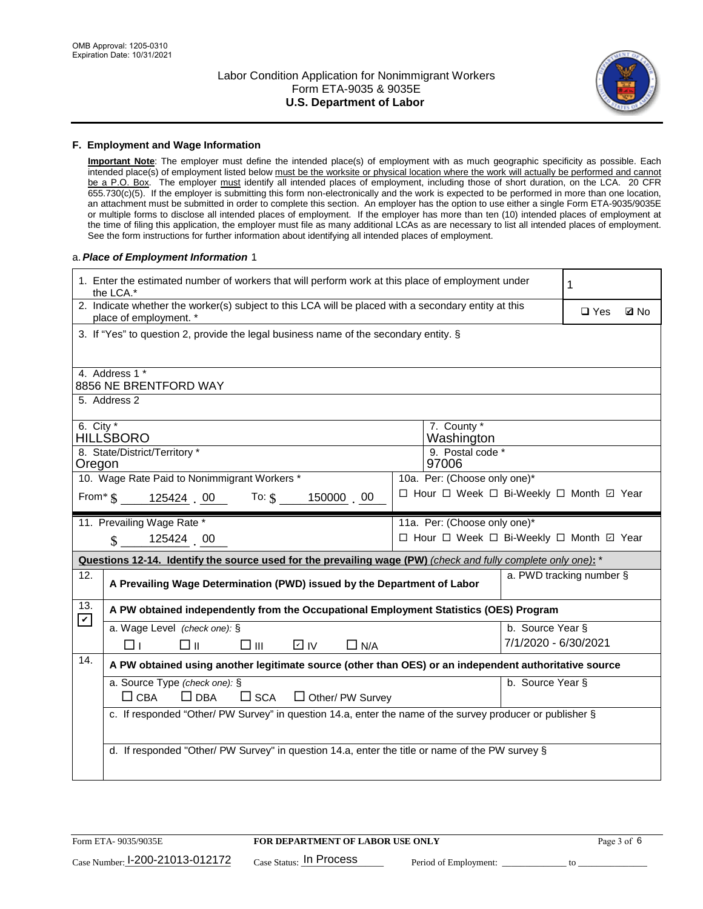

#### **F. Employment and Wage Information**

**Important Note**: The employer must define the intended place(s) of employment with as much geographic specificity as possible. Each intended place(s) of employment listed below must be the worksite or physical location where the work will actually be performed and cannot be a P.O. Box. The employer must identify all intended places of employment, including those of short duration, on the LCA. 20 CFR 655.730(c)(5). If the employer is submitting this form non-electronically and the work is expected to be performed in more than one location, an attachment must be submitted in order to complete this section. An employer has the option to use either a single Form ETA-9035/9035E or multiple forms to disclose all intended places of employment. If the employer has more than ten (10) intended places of employment at the time of filing this application, the employer must file as many additional LCAs as are necessary to list all intended places of employment. See the form instructions for further information about identifying all intended places of employment.

#### a.*Place of Employment Information* 1

|                                                                              | 1. Enter the estimated number of workers that will perform work at this place of employment under<br>the LCA.*                 |  | 1                            |                      |                          |  |  |  |
|------------------------------------------------------------------------------|--------------------------------------------------------------------------------------------------------------------------------|--|------------------------------|----------------------|--------------------------|--|--|--|
|                                                                              | 2. Indicate whether the worker(s) subject to this LCA will be placed with a secondary entity at this<br>place of employment. * |  | $\square$ Yes<br><b>Z</b> No |                      |                          |  |  |  |
|                                                                              | 3. If "Yes" to question 2, provide the legal business name of the secondary entity. §                                          |  |                              |                      |                          |  |  |  |
|                                                                              | 4. Address 1 *                                                                                                                 |  |                              |                      |                          |  |  |  |
|                                                                              | 8856 NE BRENTFORD WAY                                                                                                          |  |                              |                      |                          |  |  |  |
|                                                                              | 5. Address 2                                                                                                                   |  |                              |                      |                          |  |  |  |
| 6. City $*$                                                                  | HILLŚBORO                                                                                                                      |  | 7. County *<br>Washington    |                      |                          |  |  |  |
|                                                                              | 8. State/District/Territory *                                                                                                  |  | 9. Postal code *             |                      |                          |  |  |  |
| Oregon                                                                       |                                                                                                                                |  | 97006                        |                      |                          |  |  |  |
| 10. Wage Rate Paid to Nonimmigrant Workers *<br>10a. Per: (Choose only one)* |                                                                                                                                |  |                              |                      |                          |  |  |  |
|                                                                              | □ Hour □ Week □ Bi-Weekly □ Month ☑ Year<br>From* \$125424 00 To: \$<br>150000 00                                              |  |                              |                      |                          |  |  |  |
|                                                                              | 11. Prevailing Wage Rate *<br>11a. Per: (Choose only one)*                                                                     |  |                              |                      |                          |  |  |  |
| $\sin 125424 = 00$<br>□ Hour □ Week □ Bi-Weekly □ Month 回 Year               |                                                                                                                                |  |                              |                      |                          |  |  |  |
|                                                                              |                                                                                                                                |  |                              |                      |                          |  |  |  |
|                                                                              | Questions 12-14. Identify the source used for the prevailing wage (PW) (check and fully complete only one): *                  |  |                              |                      |                          |  |  |  |
| 12.                                                                          | A Prevailing Wage Determination (PWD) issued by the Department of Labor                                                        |  |                              |                      | a. PWD tracking number § |  |  |  |
| 13.                                                                          | A PW obtained independently from the Occupational Employment Statistics (OES) Program                                          |  |                              |                      |                          |  |  |  |
| $\mathbf v$                                                                  | a. Wage Level (check one): §                                                                                                   |  |                              | b. Source Year §     |                          |  |  |  |
|                                                                              | D IV<br>□⊪<br>$\square$ $\square$<br>$\Box$ N/A<br>⊓⊥                                                                          |  |                              | 7/1/2020 - 6/30/2021 |                          |  |  |  |
| 14.                                                                          | A PW obtained using another legitimate source (other than OES) or an independent authoritative source                          |  |                              |                      |                          |  |  |  |
|                                                                              | a. Source Type (check one): §                                                                                                  |  |                              | b. Source Year §     |                          |  |  |  |
|                                                                              | $\Box$ CBA<br>$\Box$ DBA<br>$\square$ SCA<br>$\Box$ Other/ PW Survey                                                           |  |                              |                      |                          |  |  |  |
|                                                                              | c. If responded "Other/ PW Survey" in question 14.a, enter the name of the survey producer or publisher §                      |  |                              |                      |                          |  |  |  |
|                                                                              |                                                                                                                                |  |                              |                      |                          |  |  |  |
|                                                                              | d. If responded "Other/ PW Survey" in question 14.a, enter the title or name of the PW survey §                                |  |                              |                      |                          |  |  |  |
|                                                                              |                                                                                                                                |  |                              |                      |                          |  |  |  |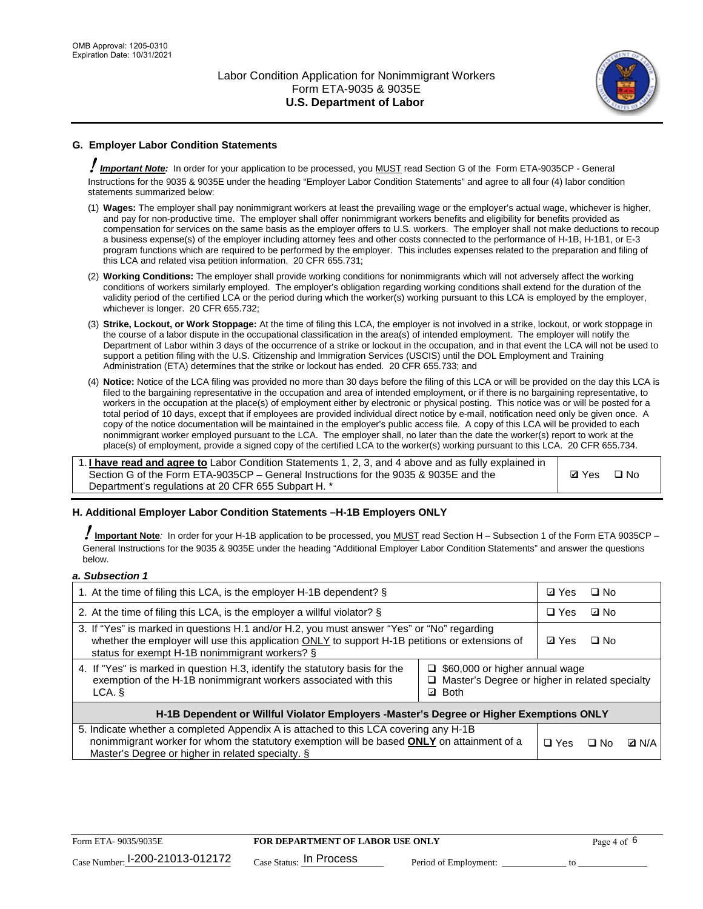

# **G. Employer Labor Condition Statements**

! *Important Note:* In order for your application to be processed, you MUST read Section G of the Form ETA-9035CP - General Instructions for the 9035 & 9035E under the heading "Employer Labor Condition Statements" and agree to all four (4) labor condition statements summarized below:

- (1) **Wages:** The employer shall pay nonimmigrant workers at least the prevailing wage or the employer's actual wage, whichever is higher, and pay for non-productive time. The employer shall offer nonimmigrant workers benefits and eligibility for benefits provided as compensation for services on the same basis as the employer offers to U.S. workers. The employer shall not make deductions to recoup a business expense(s) of the employer including attorney fees and other costs connected to the performance of H-1B, H-1B1, or E-3 program functions which are required to be performed by the employer. This includes expenses related to the preparation and filing of this LCA and related visa petition information. 20 CFR 655.731;
- (2) **Working Conditions:** The employer shall provide working conditions for nonimmigrants which will not adversely affect the working conditions of workers similarly employed. The employer's obligation regarding working conditions shall extend for the duration of the validity period of the certified LCA or the period during which the worker(s) working pursuant to this LCA is employed by the employer, whichever is longer. 20 CFR 655.732;
- (3) **Strike, Lockout, or Work Stoppage:** At the time of filing this LCA, the employer is not involved in a strike, lockout, or work stoppage in the course of a labor dispute in the occupational classification in the area(s) of intended employment. The employer will notify the Department of Labor within 3 days of the occurrence of a strike or lockout in the occupation, and in that event the LCA will not be used to support a petition filing with the U.S. Citizenship and Immigration Services (USCIS) until the DOL Employment and Training Administration (ETA) determines that the strike or lockout has ended. 20 CFR 655.733; and
- (4) **Notice:** Notice of the LCA filing was provided no more than 30 days before the filing of this LCA or will be provided on the day this LCA is filed to the bargaining representative in the occupation and area of intended employment, or if there is no bargaining representative, to workers in the occupation at the place(s) of employment either by electronic or physical posting. This notice was or will be posted for a total period of 10 days, except that if employees are provided individual direct notice by e-mail, notification need only be given once. A copy of the notice documentation will be maintained in the employer's public access file. A copy of this LCA will be provided to each nonimmigrant worker employed pursuant to the LCA. The employer shall, no later than the date the worker(s) report to work at the place(s) of employment, provide a signed copy of the certified LCA to the worker(s) working pursuant to this LCA. 20 CFR 655.734.

1. **I have read and agree to** Labor Condition Statements 1, 2, 3, and 4 above and as fully explained in Section G of the Form ETA-9035CP – General Instructions for the 9035 & 9035E and the Department's regulations at 20 CFR 655 Subpart H. \*

**Ø**Yes ロNo

### **H. Additional Employer Labor Condition Statements –H-1B Employers ONLY**

!**Important Note***:* In order for your H-1B application to be processed, you MUST read Section H – Subsection 1 of the Form ETA 9035CP – General Instructions for the 9035 & 9035E under the heading "Additional Employer Labor Condition Statements" and answer the questions below.

#### *a. Subsection 1*

| 1. At the time of filing this LCA, is the employer H-1B dependent? §                                                                                                                                                                           | ⊡ Yes                                                                                     | □ No |              |  |  |
|------------------------------------------------------------------------------------------------------------------------------------------------------------------------------------------------------------------------------------------------|-------------------------------------------------------------------------------------------|------|--------------|--|--|
| 2. At the time of filing this LCA, is the employer a willful violator? $\S$                                                                                                                                                                    |                                                                                           |      | ⊡ No         |  |  |
| 3. If "Yes" is marked in questions H.1 and/or H.2, you must answer "Yes" or "No" regarding<br>whether the employer will use this application ONLY to support H-1B petitions or extensions of<br>status for exempt H-1B nonimmigrant workers? § |                                                                                           |      | $\Box$ No    |  |  |
| 4. If "Yes" is marked in question H.3, identify the statutory basis for the<br>exemption of the H-1B nonimmigrant workers associated with this<br>LCA. §                                                                                       | $\Box$ \$60,000 or higher annual wage<br>□ Master's Degree or higher in related specialty |      |              |  |  |
| H-1B Dependent or Willful Violator Employers -Master's Degree or Higher Exemptions ONLY                                                                                                                                                        |                                                                                           |      |              |  |  |
| 5. Indicate whether a completed Appendix A is attached to this LCA covering any H-1B<br>nonimmigrant worker for whom the statutory exemption will be based <b>ONLY</b> on attainment of a<br>Master's Degree or higher in related specialty. § | $\Box$ Yes                                                                                | ⊟ No | <b>Q</b> N/A |  |  |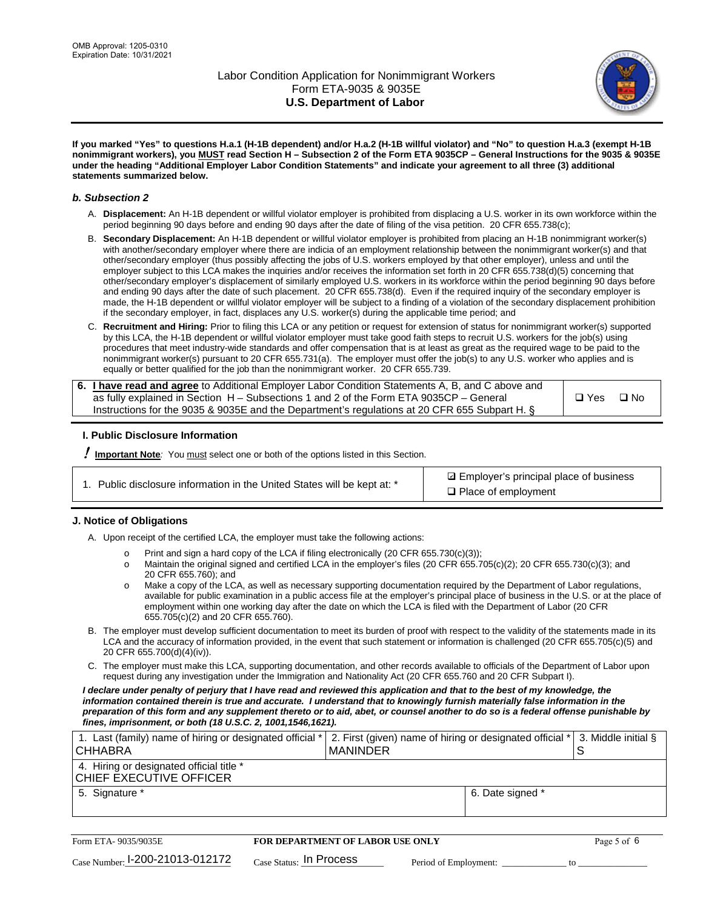

**If you marked "Yes" to questions H.a.1 (H-1B dependent) and/or H.a.2 (H-1B willful violator) and "No" to question H.a.3 (exempt H-1B nonimmigrant workers), you MUST read Section H – Subsection 2 of the Form ETA 9035CP – General Instructions for the 9035 & 9035E under the heading "Additional Employer Labor Condition Statements" and indicate your agreement to all three (3) additional statements summarized below.**

#### *b. Subsection 2*

- A. **Displacement:** An H-1B dependent or willful violator employer is prohibited from displacing a U.S. worker in its own workforce within the period beginning 90 days before and ending 90 days after the date of filing of the visa petition. 20 CFR 655.738(c);
- B. **Secondary Displacement:** An H-1B dependent or willful violator employer is prohibited from placing an H-1B nonimmigrant worker(s) with another/secondary employer where there are indicia of an employment relationship between the nonimmigrant worker(s) and that other/secondary employer (thus possibly affecting the jobs of U.S. workers employed by that other employer), unless and until the employer subject to this LCA makes the inquiries and/or receives the information set forth in 20 CFR 655.738(d)(5) concerning that other/secondary employer's displacement of similarly employed U.S. workers in its workforce within the period beginning 90 days before and ending 90 days after the date of such placement. 20 CFR 655.738(d). Even if the required inquiry of the secondary employer is made, the H-1B dependent or willful violator employer will be subject to a finding of a violation of the secondary displacement prohibition if the secondary employer, in fact, displaces any U.S. worker(s) during the applicable time period; and
- C. **Recruitment and Hiring:** Prior to filing this LCA or any petition or request for extension of status for nonimmigrant worker(s) supported by this LCA, the H-1B dependent or willful violator employer must take good faith steps to recruit U.S. workers for the job(s) using procedures that meet industry-wide standards and offer compensation that is at least as great as the required wage to be paid to the nonimmigrant worker(s) pursuant to 20 CFR 655.731(a). The employer must offer the job(s) to any U.S. worker who applies and is equally or better qualified for the job than the nonimmigrant worker. 20 CFR 655.739.

| 6. I have read and agree to Additional Employer Labor Condition Statements A, B, and C above and |       |           |
|--------------------------------------------------------------------------------------------------|-------|-----------|
| as fully explained in Section H – Subsections 1 and 2 of the Form ETA 9035CP – General           | □ Yes | $\Box$ No |
| Instructions for the 9035 & 9035E and the Department's regulations at 20 CFR 655 Subpart H. §    |       |           |

### **I. Public Disclosure Information**

! **Important Note***:* You must select one or both of the options listed in this Section.

| 1. Public disclosure information in the United States will be kept at: * |
|--------------------------------------------------------------------------|
|--------------------------------------------------------------------------|

**sqrt** Employer's principal place of business □ Place of employment

### **J. Notice of Obligations**

A. Upon receipt of the certified LCA, the employer must take the following actions:

- o Print and sign a hard copy of the LCA if filing electronically (20 CFR 655.730(c)(3));<br>
Maintain the original signed and certified LCA in the employer's files (20 CFR 655.7
- Maintain the original signed and certified LCA in the employer's files (20 CFR 655.705(c)(2); 20 CFR 655.730(c)(3); and 20 CFR 655.760); and
- o Make a copy of the LCA, as well as necessary supporting documentation required by the Department of Labor regulations, available for public examination in a public access file at the employer's principal place of business in the U.S. or at the place of employment within one working day after the date on which the LCA is filed with the Department of Labor (20 CFR 655.705(c)(2) and 20 CFR 655.760).
- B. The employer must develop sufficient documentation to meet its burden of proof with respect to the validity of the statements made in its LCA and the accuracy of information provided, in the event that such statement or information is challenged (20 CFR 655.705(c)(5) and 20 CFR 655.700(d)(4)(iv)).
- C. The employer must make this LCA, supporting documentation, and other records available to officials of the Department of Labor upon request during any investigation under the Immigration and Nationality Act (20 CFR 655.760 and 20 CFR Subpart I).

*I declare under penalty of perjury that I have read and reviewed this application and that to the best of my knowledge, the*  information contained therein is true and accurate. I understand that to knowingly furnish materially false information in the *preparation of this form and any supplement thereto or to aid, abet, or counsel another to do so is a federal offense punishable by fines, imprisonment, or both (18 U.S.C. 2, 1001,1546,1621).*

| 1. Last (family) name of hiring or designated official *<br><b>CHHABRA</b> |                         | I MANINDER                              |                       | 2. First (given) name of hiring or designated official * |    | 3. Middle initial § |
|----------------------------------------------------------------------------|-------------------------|-----------------------------------------|-----------------------|----------------------------------------------------------|----|---------------------|
| 4. Hiring or designated official title *<br>CHIEF EXECUTIVE OFFICER        |                         |                                         |                       |                                                          |    |                     |
| 5. Signature *                                                             |                         |                                         |                       | 6. Date signed *                                         |    |                     |
|                                                                            |                         |                                         |                       |                                                          |    |                     |
| Form ETA- 9035/9035E                                                       |                         | <b>FOR DEPARTMENT OF LABOR USE ONLY</b> |                       |                                                          |    | Page 5 of 6         |
| $_{\text{Case Number:}}$ 1-200-21013-012172                                | Case Status: In Process |                                         | Period of Employment: |                                                          | tο |                     |